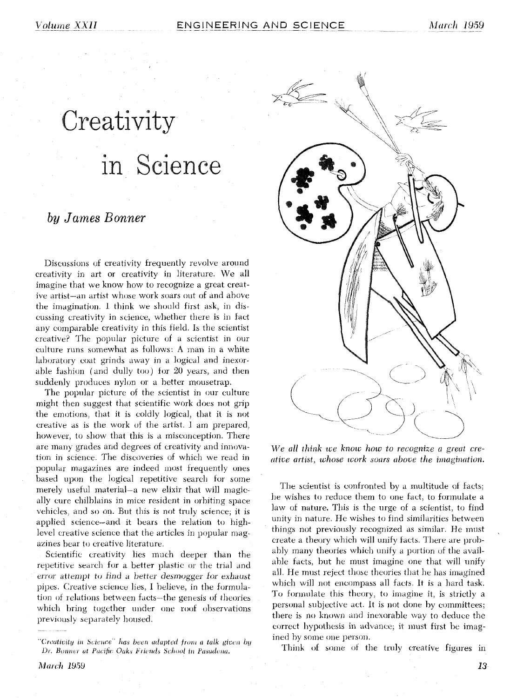# Creativity in Science

## by James Bonner

Discussions of creativity frequently revolve around creativity in art or creativity in literature. We all imagine that we know how to recognize a great creative artist—an artist whose work soars out of and above the imagination. I think we should first ask, in discussing creativity in science, whether there is in fact any comparable creativity in this field. Is the scientist creative? The popular picture of a scientist in our culture runs somewhat as follows: A man in a white laboratory coat grinds away in a logical and inexorable fashion (and dully too) for 20 years, and then suddenly produces nylon or a better mousetrap.

The popular picture of the scientist in our culture might then suggest that scientific work does not grip the emotions, that it is coldly logical, that it is not creative as is the work of the artist. I am prepared, however, to show that this is a misconception. There are many grades and degrees of creativity and innovation in science. The discoveries of which we read in popular magazines are indeed most frequently ones based upon the logical repetitive search for some merely useful material—a new elixir that will magically cure chilblains in mice resident in orbiting space vehicles, and so on. But this is not truly science; it is applied science-and it bears the relation to highlevel creative science that the articles in popular magazines bear to creative literature.

Scientific creativity lies much deeper than the repetitive search for a better plastic or the trial and error attempt to find a better desmogger for exhaust pipes. Creative science lies, I believe, in the formulation of relations between facts-the genesis of theories which bring together under one roof observations previously separately housed.



We all think we know how to recognize a great creative artist, whose work soars above the imagination.

The scientist is confronted by a multitude of facts; he wishes to reduce them to one fact, to formulate a law of nature. This is the urge of a scientist, to find unity in nature. He wishes to find similarities between things not previously recognized as similar. He must create a theory which will unify facts. There are probably many theories which unify a portion of the available facts, but he must imagine one that will unify all. He must reject those theories that he has imagined which will not encompass all facts. It is a hard task. To formulate this theory, to imagine it, is strictly a personal subjective act. It is not done by committees; there is no known and inexorable way to deduce the correct hypothesis in advance; it must first be imagined by some one person.

Think of some of the truly creative figures in

<sup>&</sup>quot;Creativity in Science" has been adapted from a talk given by Dr. Bonner at Pacific Oaks Friends School in Pasadena.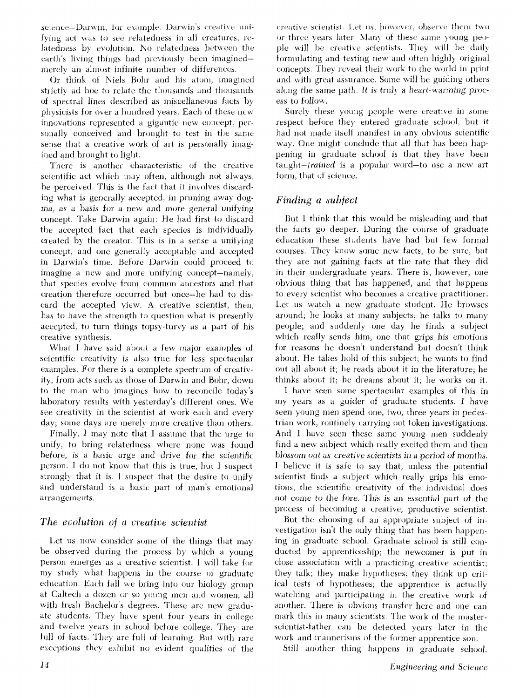science-Darwin, for example. Darwin's creative unifying act was to see relatedness in all creatures, relatedness by evolution. No relatedness between the earth's living things had previously been imagined merely an almost infinite number of differences.

Or think of Niels Bohr and his atom, imagined strictly ad hoc to relate the thousands and thousands of spectral lines described as miscellaneous facts by physicists for over a hundred years. Each of these new innovations represented a gigantic new concept, personally conceived and brought to test in the same sense that a creative work of art is personally imagined and brought to light.

There is another characteristic of the creative scientific act which may often, although not always, be perceived. This is the fact that it involves discarding what is generally accepted, in pruning away dogma, as a basis for a new and more general unifying concept. Take Darwin again: He had first to discard the accepted fact that each species is individually created by the creator. This is in a sense a unifying concept, and one generally acceptable and accepted in Darwin's time. Before Darwin could proceed to imagine a new and more unifying concept—namely, that species evolve from common ancestors and that creation therefore occurred but once-he had to discard the accepted view. A creative scientist, then, has to have the strength to question what is presently accepted, to turn things topsy-turvy as a part of his creative synthesis.

What I have said about a few major examples of scientific creativity is also true for less spectacular examples. For there is a complete spectrum of creativity, from acts such as those of Darwin and Bohr, down to the man who imagines how to reconcile today's laboratory results with yesterday's different ones. We see creativity in the scientist at work each and every day; some days are merely more creative than others.

Finally, I may note that I assume that the urge to unify, to bring relatedness where none was found before, is a basic urge and drive for the scientific person. I do not know that this is true, but I suspect strongly that it is. I suspect that the desire to unify and understand is a basic part of man's emotional arrangements.

## The evolution of a creative scientist

Let us now consider some of the things that may be observed during the process by which a young person emerges as a creative scientist. I will take for my study what happens in the course of graduate education. Each fall we bring into our biology group at Caltech a dozen or so young men and women, all with fresh Bachelor's degrees. These are new graduate students. They have spent four years in college and twelve years in school before college. They are full of facts. They are full of learning. But with rare exceptions they exhibit no evident qualities of the creative scientist. Let us, however, observe them two or three years later. Many of these same young people will be creative scientists. They will be daily formulating and testing new and often highly original concepts. They reveal their work to the world in print and with great assurance. Some will be guiding others along the same path. It is truly a heart-warming process to follow.

Surely these young people were creative in some respect before they entered graduate school, but it had not made itself manifest in any obvious scientific way. One might conclude that all that has been happening in graduate school is that they have been taught-*trained* is a popular word-to use a new art form, that of science.

## Finding a subject

But I think that this would be misleading and that the facts go deeper. During the course of graduate education these students have had but few formal courses. They know some new facts, to be sure, but they are not gaining facts at the rate that they did in their undergraduate years. There is, however, one obvious thing that has happened, and that happens to every scientist who becomes a creative practitioner. Let us watch a new graduate student. He browses around; he looks at many subjects; he talks to many people; and suddenly one day he finds a subject which really sends him, one that grips his emotions for reasons he doesn't understand but doesn't think about. He takes hold of this subject, he wants to find out all about it; he reads about it in the literature; he thinks about it; he dreams about it; he works on it.

I have seen some spectacular examples of this in my years as a guider of graduate students. I have seen young men spend one, two, three years in pedestrian work, routinely carrying out token investigations. And I have seen these same young men suddenly find a new subject which really excited them and then blossom out as creative scientists in a period of months. I believe it is safe to say that, unless the potential scientist finds a subject which really grips his emotions, the scientific creativity of the individual does not come to the fore. This is an essential part of the process of becoming a creative, productive scientist.

But the choosing of an appropriate subject of investigation isn't the only thing that has been happening in graduate school. Graduate school is still conducted by apprenticeship; the newcomer is put in close association with a practicing creative scientist; they talk; they make hypotheses; they think up critical tests of hypotheses; the apprentice is actually watching and participating in the creative work of another. There is obvious transfer here and one can mark this in many scientists. The work of the masterscientist-father can be detected years later in the work and mannerisms of the former apprentice son.

Still another thing happens in graduate school.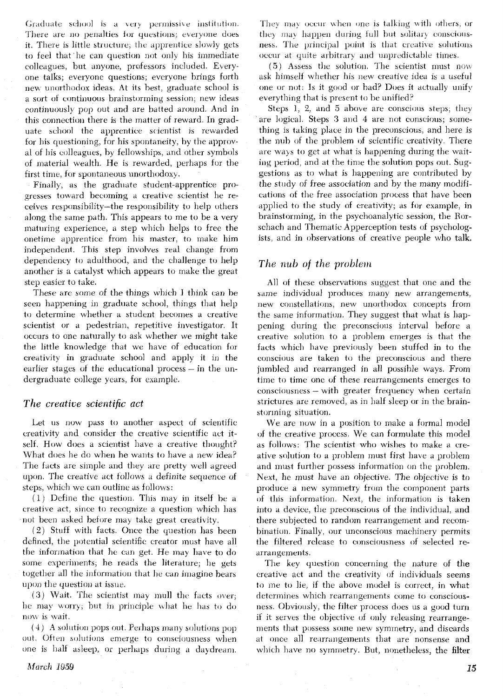Graduate school is a very permissive institution. There are no penalties for questions; everyone does it. There is little structure, the apprentice slowly gets to feel that he can question not only his immediate colleagues, but anyone, professors included. Everyone talks; everyone questions; everyone brings forth new unorthodox ideas. At its best, graduate school is a sort **ot** continuous brainstorming session, new ideas coritinuously pop out and are batted around. And in this connection there is the matter of reward. In graduate school the apprentice scientist is rewarded for his questioning, for his spontaneity, by the approval of his colleagues, by fellowships, and other symbols of material wealth. He is rewarded, perhaps for the first time, for spontaneous unorthodoxy.

Finally, as the graduate student-apprentice progresses toward becoming a creative scientist he receives responsibility-the responsibility to help others along the same path. This appears to me to be a very maturing experience, a step which helps to free the onetime apprentice from his master, to make him independent. This step involves real change from dependency to adulthood, and the challenge to help another is a catalyst which appears to make the great step easier to take.

These are some of the things which I think can be seen happening in graduate school, things that help to determine whether a student becomes a creative scientist or a pedestrian, repetitive investigator. It occurs to one naturally to ask whether we might take the little knowledge that we have of education for creativity in graduate school and apply it in the earlier stages of the educational process  $-$  in the undergraduate college years, for example.

#### *The creative scientific act*

Let us now pass to another aspect of scientific creativity and consider the creative scientific act itself. How does a scientist have a creative thought? What does he do when he wants to have a new idea? The facts are simple and they are pretty well agreed upon. The creative act follows a definite sequence of steps, which we can outline as follows:

 $(1)$  Define the question. This may in itself be a creative act, since to recognize a question which has not been asked before may take great creativity.

*(2)* Stuti with facts. Once the question has been defined, the potential scientific creator must have all the information that he can get. He may have to do some experiments; he reads the literature; he gets together all the information that he can imagine bears upon the question at *issue*.

 $(3)$  Wait. The scientist may mull the facts over, he may worry; but in principle what he has to do now is wait.

 $(4)$  A solution pops out. Perhaps many solutions pop out. Often solutions emerge to consciousness when one is half asleep, or perhaps during a daydream.

They may occur when one is talking with others, or they may happen during full but solitary consciousness. The principal point is that creative solutions occur at quite arbitrary and unpredictable times.

*(5)* Assess the solution. The scientist must now ask himself whether his new creative idea is a useful one or not: Is it good or bad? Does it actually unify everything that is present to be unified?

Steps 1, 2, and 5 above are conscious steps, they are logical. Steps *3* and 4 are not conscious; something is taking place in the preconscious, and here is the nub of the problem of scientific creativity. There are ways to get at what is happening during the waiting period, and at the time the solution pops out, Suggestions as to what is happening are contributed by the study of free association and by the many modifications of the free association process that have been applied to the study of creativity; as for example, in brainstorming, in the psychoanalytic session, the Rorschach and Thematic Apperception tests of psychologists. and in observations of creative people who talk.

#### *The nub of the problem*

All of these observations suggest that one and the same individual produces many new arrangements, new constellations, new unorthodox concepts from the same information. They suggest that what is happening during the preconscious interval before a creative solution to a problem emerges is that the facts which have previously been stuffed in to the conscious are taken to the preconscious and there jumbled and rearranged in all possible ways. From time to time one of these rearrangements emerges to consciousness - with greater frequency when certain strictures are removed, as in half sleep or in the brainstorming situation.

We are now in a position to make a formal model of the creative process. We can formulate this model as follows: The scientist who wishes to make a creative solution to a problem must first have a problem and must further possess information on the problem. Next, he must have an objective. The objective is to produce a new symmetry trom the component parts ot tliis information. Next, the information is taken into a device, the preconscious of the individual, and there subjected to random reanangement and recombination. Finally, our unconscious machinery permits the filtered release to consciousness of selected rearrangements.

The key question concerning the nature of the creative act and the creativity of individuals seems to me to lie, if the above model is correct. in what determines which rearrangements come to consciousness. Obviously, the filter process does us a good turn if it serves the objective of only releasing rearrangements that possess some new symmetry, and discards at once all rearrangements that are nonsense and which have no symmetry. But, nonetheless, the filter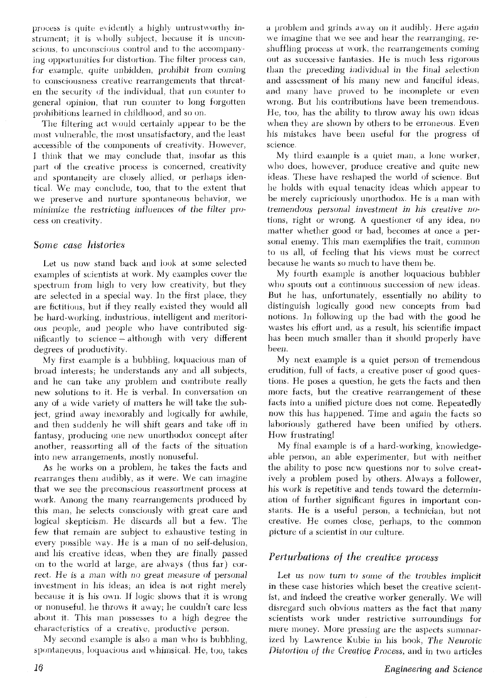process is quite evidently a highly untrustworthy instrument; it is wholly subject, because it is unconscious, to unconscious control and to the accompanying opportunities for distortion. The filter process can, for example, quite unbidden, prohibit from coming to consciousness creative rearrangements that threaten the security of the individual, that run counter to general opinion, that run counter to long forgotten prohibitions learned in childhood, and so on.

The filtering act would certainly appear to be the most vulnerable, the most unsatisfactory, and the least accessible of the components of creativity. However, I think that we may conclude that, insofar as this part of the creative process is concerned, creativity and spontaneity are closely allied, or perhaps identical. We may conclude, too, that to the extent that we preserve and nurture spontaneous behavior, we minimize the restricting influences of the filter process on creativity.

#### Some case histories

Let us now stand back and look at some selected examples of scientists at work. My examples cover the spectrum from high to very low creativity, but they are selected in a special way. In the first place, they are fictitious, but if they really existed they would all be hard-working, industrious, intelligent and meritorious people, and people who have contributed significantly to science – although with very different degrees of productivity.

My first example is a bubbling, loquacious man of proad interests; he understands any and all subjects, and he can take any problem and contribute really new solutions to it. He is verbal. In conversation on any of a wide variety of matters he will take the subject, grind away inexorably and logically for awhile, and then suddenly he will shift gears and take off in fantasy, producing one new unorthodox concept after another, reassorting all of the facts of the situation into new arrangements, mostly nonuseful.

As he works on a problem, he takes the facts and rearranges them audibly, as it were. We can imagine that we see the preconscious reassortment process at work. Among the many rearrangements produced by this man, he selects consciously with great care and logical skepticism. He discards all but a few. The few that remain are subject to exhaustive testing in every possible way. He is a man of no self-delusion, and his creative ideas, when they are finally passed on to the world at large, are always (thus far) correct. He is a man with no great measure of personal investment in his ideas; an idea is not right merely because it is his own. If logic shows that it is wrong or nonuseful, he throws it away; he couldn't care less about it. This man possesses to a high degree the characteristics of a creative, productive person.

My second example is also a man who is bubbling, spontaneous, loquacious and whimsical. He, too, takes a problem and grinds away on it audibly. Here again we imagine that we see and hear the rearranging, reshuffling process at work, the rearrangements coming out as successive fantasies. He is much less rigorous than the preceding individual in the final selection and assessment of his many new and fanciful ideas, and many have proved to be incomplete or even wrong. But his contributions have been tremendous. He, too, has the ability to throw away his own ideas when they are shown by others to be erroneous. Even his mistakes have been useful for the progress of science.

My third example is a quiet man, a lone worker, who does, however, produce creative and quite new ideas. These have reshaped the world of science. But he holds with equal tenacity ideas which appear to be merely capriciously unorthodox. He is a man with tremendous personal investment in his creative notions, right or wrong. A questioner of any idea, no matter whether good or bad, becomes at once a personal enemy. This man exemplifies the trait, common to us all, of feeling that his views must be correct because he wants so much to have them be.

My fourth example is another loquacious bubbler who spouts out a continuous succession of new ideas. But he has, unfortunately, essentially no ability to distinguish logically good new concepts from bad notions. In following up the bad with the good he wastes his effort and, as a result, his scientific impact has been much smaller than it should properly have been.

My next example is a quiet person of tremendous erudition, full of facts, a creative poser of good questions. He poses a question, he gets the facts and then more facts, but the creative rearrangement of these facts into a unified picture does not come. Repeatedly now this has happened. Time and again the facts so laboriously gathered have been unified by others. How frustrating!

My final example is of a hard-working, knowledgeable person, an able experimenter, but with neither the ability to pose new questions nor to solve creatively a problem posed by others. Always a follower, his work is repetitive and tends toward the determination of further significant figures in important constants. He is a useful person, a technician, but not creative. He comes close, perhaps, to the common picture of a scientist in our culture.

### Perturbations of the creative process

Let us now turn to some of the troubles implicit in these case histories which beset the creative scientist, and indeed the creative worker generally. We will disregard such obvious matters as the fact that many scientists work under restrictive surroundings for mere money. More pressing are the aspects summarized by Lawrence Kubie in his book, The Neurotic Distortion of the Creative Process, and in two articles